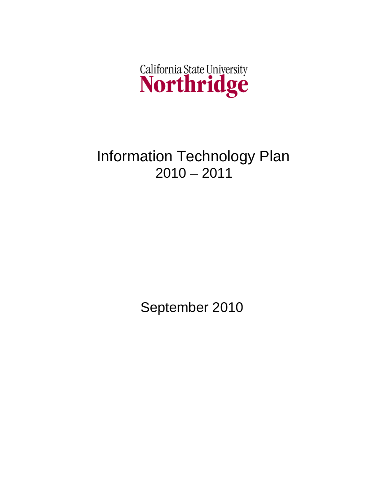

# Information Technology Plan  $2010 - 2011$

September 2010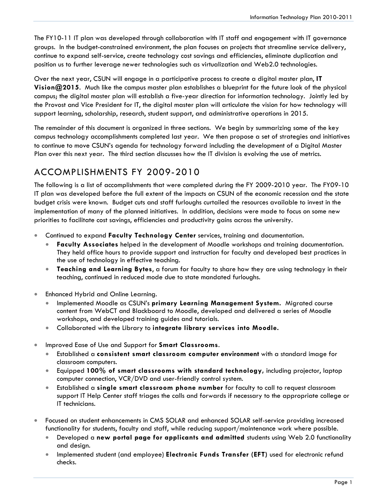The FY10-11 IT plan was developed through collaboration with IT staff and engagement with IT governance groups. In the budget-constrained environment, the plan focuses on projects that streamline service delivery, continue to expand self-service, create technology cost savings and efficiencies, eliminate duplication and position us to further leverage newer technologies such as virtualization and Web2.0 technologies.

Over the next year, CSUN will engage in a participative process to create a digital master plan, **IT Vision@2015**. Much like the campus master plan establishes a blueprint for the future look of the physical campus; the digital master plan will establish a five-year direction for information technology. Jointly led by the Provost and Vice President for IT, the digital master plan will articulate the vision for how technology will support learning, scholarship, research, student support, and administrative operations in 2015.

The remainder of this document is organized in three sections. We begin by summarizing some of the key campus technology accomplishments completed last year. We then propose a set of strategies and initiatives to continue to move CSUN's agenda for technology forward including the development of a Digital Master Plan over this next year. The third section discusses how the IT division is evolving the use of metrics.

## ACCOMPLISHMENTS FY 2009-2010

The following is a list of accomplishments that were completed during the FY 2009-2010 year. The FY09-10 IT plan was developed before the full extent of the impacts on CSUN of the economic recession and the state budget crisis were known. Budget cuts and staff furloughs curtailed the resources available to invest in the implementation of many of the planned initiatives. In addition, decisions were made to focus on some new priorities to facilitate cost savings, efficiencies and productivity gains across the university.

- Continued to expand **Faculty Technology Center** services, training and documentation.
	- **Faculty Associates** helped in the development of Moodle workshops and training documentation. They held office hours to provide support and instruction for faculty and developed best practices in the use of technology in effective teaching.
	- **Teaching and Learning Bytes**, a forum for faculty to share how they are using technology in their teaching, continued in reduced mode due to state mandated furloughs.
- Enhanced Hybrid and Online Learning.
	- Implemented Moodle as CSUN's **primary Learning Management System.** Migrated course content from WebCT and Blackboard to Moodle, developed and delivered a series of Moodle workshops, and developed training guides and tutorials.
	- Collaborated with the Library to **integrate library services into Moodle.**
- Improved Ease of Use and Support for **Smart Classrooms**.
	- Established a **consistent smart classroom computer environment** with a standard image for classroom computers.
	- Equipped **100% of smart classrooms with standard technology,** including projector, laptop computer connection, VCR/DVD and user-friendly control system.
	- Established a **single smart classroom phone number** for faculty to call to request classroom support IT Help Center staff triages the calls and forwards if necessary to the appropriate college or IT technicians.
- Focused on student enhancements in CMS SOLAR and enhanced SOLAR self-service providing increased functionality for students, faculty and staff, while reducing support/maintenance work where possible.
	- Developed a **new portal page for applicants and admitted** students using Web 2.0 functionality and design.
	- Implemented student (and employee) **Electronic Funds Transfer (EFT)** used for electronic refund checks.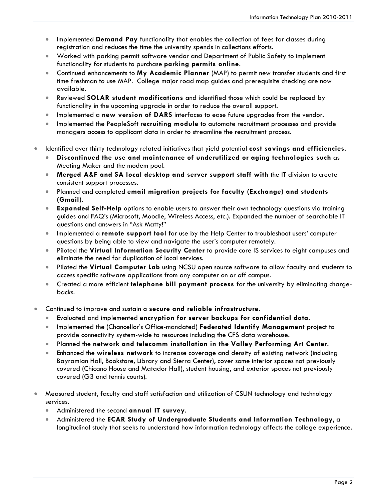- Implemented **Demand Pay** functionality that enables the collection of fees for classes during registration and reduces the time the university spends in collections efforts.
- Worked with parking permit software vendor and Department of Public Safety to implement functionality for students to purchase **parking permits online**.
- Continued enhancements to **My Academic Planner** (MAP) to permit new transfer students and first time freshman to use MAP. College major road map guides and prerequisite checking are now available.
- Reviewed **SOLAR student modifications** and identified those which could be replaced by functionality in the upcoming upgrade in order to reduce the overall support.
- Implemented a **new version of DARS** interfaces to ease future upgrades from the vendor.
- Implemented the PeopleSoft **recruiting module** to automate recruitment processes and provide managers access to applicant data in order to streamline the recruitment process.
- Identified over thirty technology related initiatives that yield potential **cost savings and efficiencies**.
	- **Discontinued the use and maintenance of underutilized or aging technologies such** as Meeting Maker and the modem pool.
	- **Merged A&F and SA local desktop and server support staff with** the IT division to create consistent support processes.
	- Planned and completed **email migration projects for faculty (Exchange) and students (Gmail)**.
	- **Expanded Self-Help** options to enable users to answer their own technology questions via training guides and FAQ's (Microsoft, Moodle, Wireless Access, etc.). Expanded the number of searchable IT questions and answers in "Ask Matty!"
	- Implemented a **remote support tool** for use by the Help Center to troubleshoot users' computer questions by being able to view and navigate the user's computer remotely.
	- Piloted the **Virtual Information Security Center** to provide core IS services to eight campuses and eliminate the need for duplication of local services.
	- Piloted the **Virtual Computer Lab** using NCSU open source software to allow faculty and students to access specific software applications from any computer on or off campus.
	- Created a more efficient **telephone bill payment process** for the university by eliminating chargebacks.
- Continued to improve and sustain a **secure and reliable infrastructure**.
	- Evaluated and implemented **encryption for server backups for confidential data**.
	- Implemented the (Chancellor's Office-mandated) **Federated Identify Management** project to provide connectivity system-wide to resources including the CFS data warehouse.
	- Planned the **network and telecomm installation in the Valley Performing Art Center**.
	- Enhanced the **wireless network** to increase coverage and density of existing network (including Bayramian Hall, Bookstore, Library and Sierra Center), cover some interior spaces not previously covered (Chicano House and Matador Hall), student housing, and exterior spaces not previously covered (G3 and tennis courts).
- Measured student, faculty and staff satisfaction and utilization of CSUN technology and technology services.
	- Administered the second **annual IT survey**.
	- Administered the **ECAR Study of Undergraduate Students and Information Technology**, a longitudinal study that seeks to understand how information technology affects the college experience.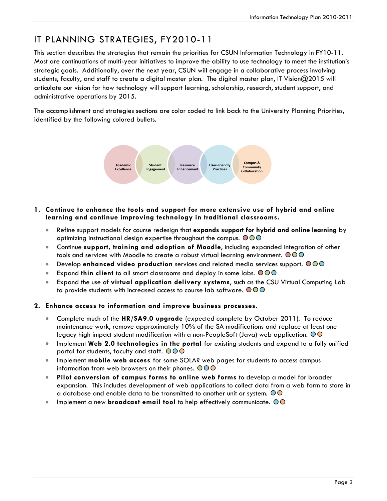# IT PLANNING STRATEGIES, FY2010-11

This section describes the strategies that remain the priorities for CSUN Information Technology in FY10-11. Most are continuations of multi-year initiatives to improve the ability to use technology to meet the institution's strategic goals. Additionally, over the next year, CSUN will engage in a collaborative process involving students, faculty, and staff to create a digital master plan. The digital master plan, IT Vision@2015 will articulate our vision for how technology will support learning, scholarship, research, student support, and administrative operations by 2015.

The accomplishment and strategies sections are color coded to link back to the University Planning Priorities, identified by the following colored bullets.



- **1. Continue to enhance the tools and support for more extensive use of hybrid and online learning and continue improving technology in traditional classrooms.**
	- Refine support models for course redesign that **expands support for hybrid and online learning** by optimizing instructional design expertise throughout the campus.  $\bigcirc$  OO
	- Continue **support, training and adoption of Moodle**, including expanded integration of other tools and services with Moodle to create a robust virtual learning environment.  $\bigcirc \mathbb{O} \bigcirc$
	- Develop **enhanced video production** services and related media services support.
	- Expand **thin client** to all smart classrooms and deploy in some labs.
	- Expand the use of **virtual application delivery systems**, such as the CSU Virtual Computing Lab to provide students with increased access to course lab software.  $\mathbf{\circ} \mathbf{\circ} \mathbf{\circ}$

#### **2. Enhance access to information and improve business processes.**

- Complete much of the **HR/SA9.0 upgrade** (expected complete by October 2011). To reduce maintenance work, remove approximately 10% of the SA modifications and replace at least one legacy high impact student modification with a non-PeopleSoft (Java) web application.  $\odot$ O
- Implement **Web 2.0 technologies in the portal** for existing students and expand to a fully unified portal for students, faculty and staff.  $\bigcirc \bigcirc \bigcirc$
- Implement **mobile web access** for some SOLAR web pages for students to access campus information from web browsers on their phones.  $\overline{O} \overline{O}$
- **Pilot conversion of campus forms to online web forms** to develop a model for broader expansion. This includes development of web applications to collect data from a web form to store in a database and enable data to be transmitted to another unit or system.  $\circledcirc$
- Implement a new **broadcast email tool** to help effectively communicate.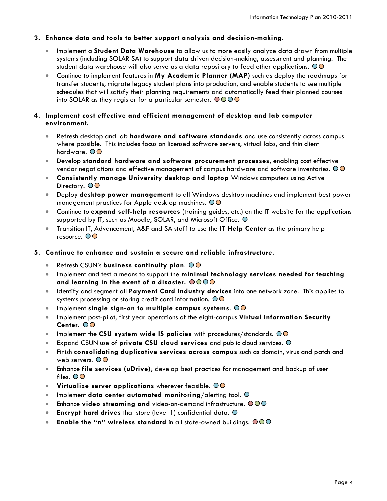#### **3. Enhance data and tools to better support analysis and decision-making.**

- Implement a **Student Data Warehouse** to allow us to more easily analyze data drawn from multiple systems (including SOLAR SA) to support data driven decision-making, assessment and planning. The student data warehouse will also serve as a data repository to feed other applications.  $\circledcirc$
- Continue to implement features in **My Academic Planner (MAP)** such as deploy the roadmaps for transfer students, migrate legacy student plans into production, and enable students to see multiple schedules that will satisfy their planning requirements and automatically feed their planned courses into SOLAR as they register for a particular semester.  $\bigcirc$  OOO

#### **4. Implement cost effective and efficient management of desktop and lab computer environment.**

- Refresh desktop and lab **hardware and software standards** and use consistently across campus where possible. This includes focus on licensed software servers, virtual labs, and thin client hardware. OO
- Develop **standard hardware and software procurement processes**, enabling cost effective vendor negotiations and effective management of campus hardware and software inventories.  $\circledcirc$
- **Consistently manage University desktop and laptop** Windows computers using Active Directory. OO
- Deploy **desktop power management** to all Windows desktop machines and implement best power management practices for Apple desktop machines.
- Continue to **expand self-help resources** (training guides, etc.) on the IT website for the applications supported by IT, such as Moodle, SOLAR, and Microsoft Office.  $\bigcirc$
- Transition IT, Advancement, A&F and SA staff to use the **IT Help Center** as the primary help resource. OO
- **5. Continue to enhance and sustain a secure and reliable infrastructure.** 
	- Refresh CSUN's **business continuity plan**.
	- Implement and test a means to support the **minimal technology services needed for teaching and learning in the event of a disaster.**
	- Identify and segment all **Payment Card Industry devices** into one network zone. This applies to systems processing or storing credit card information. OO
	- Implement **single sign-on to multiple campus systems**.
	- Implement post-pilot, first year operations of the eight-campus **Virtual Information Security Center.**
	- Implement the CSU system wide IS policies with procedures/standards.  $\overline{O}\overline{O}$
	- Expand CSUN use of **private CSU cloud services** and public cloud services.
	- Finish **consolidating duplicative services across campus** such as domain, virus and patch and web servers.  $\overline{O}O$
	- Enhance **file services (uDrive)**; develop best practices for management and backup of user files. OO
	- **Virtualize server applications** wherever feasible.
	- Implement **data center automated monitoring**/alerting tool.
	- Enhance **video streaming and** video-on-demand infrastructure.  $\bigcirc \bigcirc \bigcirc$
	- **Encrypt hard drives** that store (level 1) confidential data.
	- **Enable the "n" wireless standard** in all state-owned buildings.